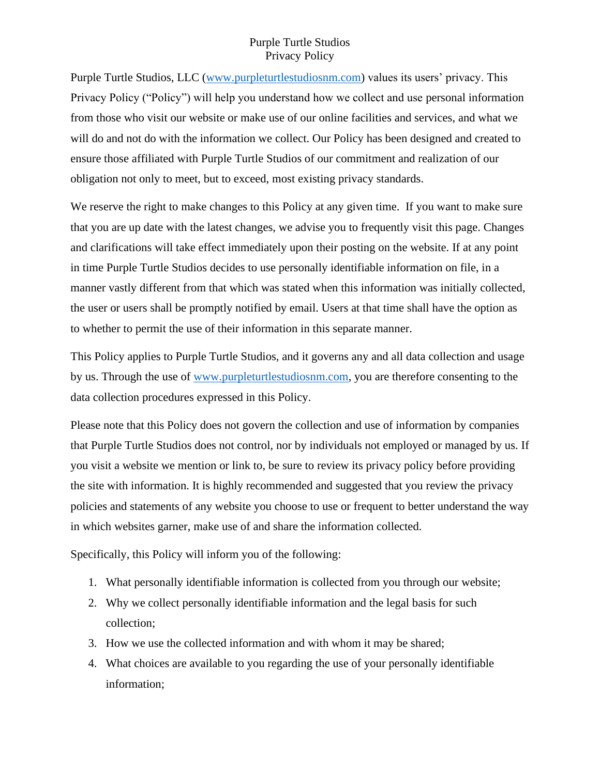Purple Turtle Studios, LLC [\(www.purpleturtlestudiosnm.com\)](https://d.docs.live.net/3b3216ae2c744166/www.purpleturtlestudiosnm.com) values its users' privacy. This Privacy Policy ("Policy") will help you understand how we collect and use personal information from those who visit our website or make use of our online facilities and services, and what we will do and not do with the information we collect. Our Policy has been designed and created to ensure those affiliated with Purple Turtle Studios of our commitment and realization of our obligation not only to meet, but to exceed, most existing privacy standards.

We reserve the right to make changes to this Policy at any given time. If you want to make sure that you are up date with the latest changes, we advise you to frequently visit this page. Changes and clarifications will take effect immediately upon their posting on the website. If at any point in time Purple Turtle Studios decides to use personally identifiable information on file, in a manner vastly different from that which was stated when this information was initially collected, the user or users shall be promptly notified by email. Users at that time shall have the option as to whether to permit the use of their information in this separate manner.

This Policy applies to Purple Turtle Studios, and it governs any and all data collection and usage by us. Through the use of [www.purpleturtlestudiosnm.com,](http://www.purpleturtlestudiosnm.com/) you are therefore consenting to the data collection procedures expressed in this Policy.

Please note that this Policy does not govern the collection and use of information by companies that Purple Turtle Studios does not control, nor by individuals not employed or managed by us. If you visit a website we mention or link to, be sure to review its privacy policy before providing the site with information. It is highly recommended and suggested that you review the privacy policies and statements of any website you choose to use or frequent to better understand the way in which websites garner, make use of and share the information collected.

Specifically, this Policy will inform you of the following:

- 1. What personally identifiable information is collected from you through our website;
- 2. Why we collect personally identifiable information and the legal basis for such collection;
- 3. How we use the collected information and with whom it may be shared;
- 4. What choices are available to you regarding the use of your personally identifiable information;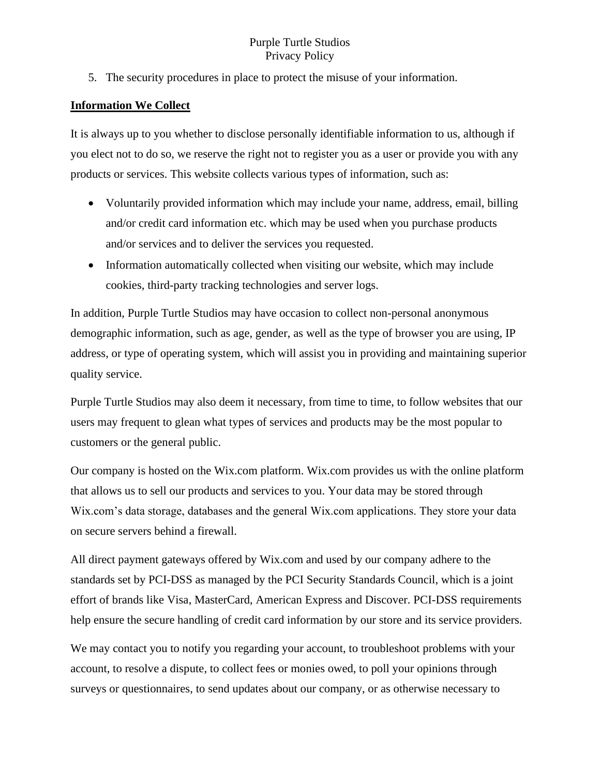5. The security procedures in place to protect the misuse of your information.

#### **Information We Collect**

It is always up to you whether to disclose personally identifiable information to us, although if you elect not to do so, we reserve the right not to register you as a user or provide you with any products or services. This website collects various types of information, such as:

- Voluntarily provided information which may include your name, address, email, billing and/or credit card information etc. which may be used when you purchase products and/or services and to deliver the services you requested.
- Information automatically collected when visiting our website, which may include cookies, third-party tracking technologies and server logs.

In addition, Purple Turtle Studios may have occasion to collect non-personal anonymous demographic information, such as age, gender, as well as the type of browser you are using, IP address, or type of operating system, which will assist you in providing and maintaining superior quality service.

Purple Turtle Studios may also deem it necessary, from time to time, to follow websites that our users may frequent to glean what types of services and products may be the most popular to customers or the general public.

Our company is hosted on the Wix.com platform. Wix.com provides us with the online platform that allows us to sell our products and services to you. Your data may be stored through Wix.com's data storage, databases and the general Wix.com applications. They store your data on secure servers behind a firewall.

All direct payment gateways offered by Wix.com and used by our company adhere to the standards set by PCI-DSS as managed by the PCI Security Standards Council, which is a joint effort of brands like Visa, MasterCard, American Express and Discover. PCI-DSS requirements help ensure the secure handling of credit card information by our store and its service providers.

We may contact you to notify you regarding your account, to troubleshoot problems with your account, to resolve a dispute, to collect fees or monies owed, to poll your opinions through surveys or questionnaires, to send updates about our company, or as otherwise necessary to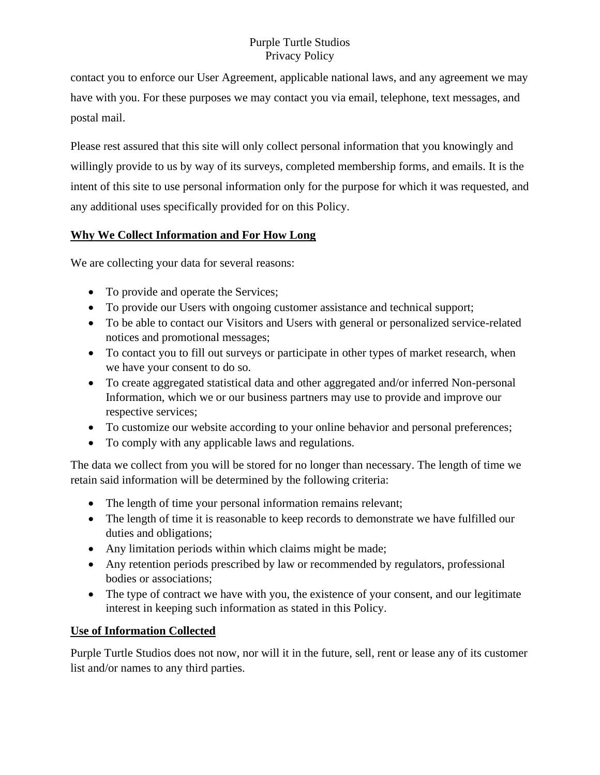contact you to enforce our User Agreement, applicable national laws, and any agreement we may have with you. For these purposes we may contact you via email, telephone, text messages, and postal mail.

Please rest assured that this site will only collect personal information that you knowingly and willingly provide to us by way of its surveys, completed membership forms, and emails. It is the intent of this site to use personal information only for the purpose for which it was requested, and any additional uses specifically provided for on this Policy.

# **Why We Collect Information and For How Long**

We are collecting your data for several reasons:

- To provide and operate the Services;
- To provide our Users with ongoing customer assistance and technical support;
- To be able to contact our Visitors and Users with general or personalized service-related notices and promotional messages;
- To contact you to fill out surveys or participate in other types of market research, when we have your consent to do so.
- To create aggregated statistical data and other aggregated and/or inferred Non-personal Information, which we or our business partners may use to provide and improve our respective services;
- To customize our website according to your online behavior and personal preferences;
- To comply with any applicable laws and regulations.

The data we collect from you will be stored for no longer than necessary. The length of time we retain said information will be determined by the following criteria:

- The length of time your personal information remains relevant;
- The length of time it is reasonable to keep records to demonstrate we have fulfilled our duties and obligations;
- Any limitation periods within which claims might be made;
- Any retention periods prescribed by law or recommended by regulators, professional bodies or associations;
- The type of contract we have with you, the existence of your consent, and our legitimate interest in keeping such information as stated in this Policy.

# **Use of Information Collected**

Purple Turtle Studios does not now, nor will it in the future, sell, rent or lease any of its customer list and/or names to any third parties.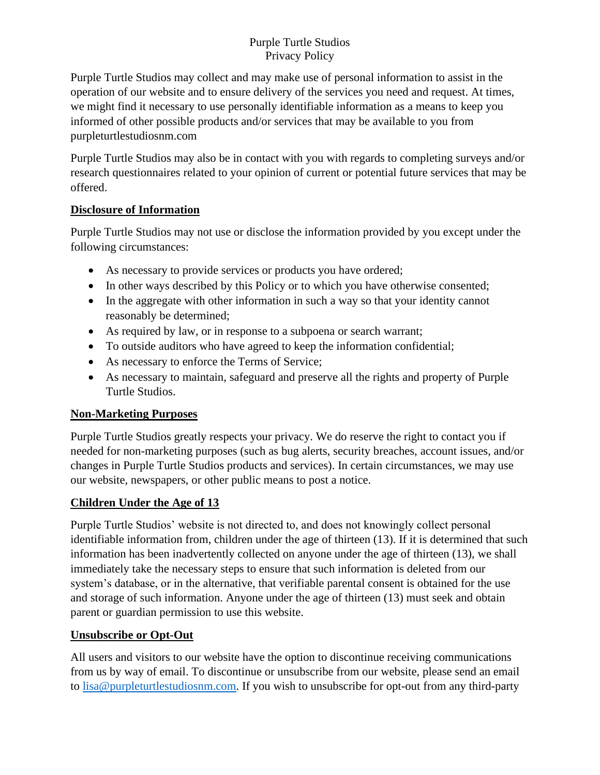Purple Turtle Studios may collect and may make use of personal information to assist in the operation of our website and to ensure delivery of the services you need and request. At times, we might find it necessary to use personally identifiable information as a means to keep you informed of other possible products and/or services that may be available to you from purpleturtlestudiosnm.com

Purple Turtle Studios may also be in contact with you with regards to completing surveys and/or research questionnaires related to your opinion of current or potential future services that may be offered.

### **Disclosure of Information**

Purple Turtle Studios may not use or disclose the information provided by you except under the following circumstances:

- As necessary to provide services or products you have ordered;
- In other ways described by this Policy or to which you have otherwise consented;
- In the aggregate with other information in such a way so that your identity cannot reasonably be determined;
- As required by law, or in response to a subpoena or search warrant;
- To outside auditors who have agreed to keep the information confidential;
- As necessary to enforce the Terms of Service;
- As necessary to maintain, safeguard and preserve all the rights and property of Purple Turtle Studios.

# **Non-Marketing Purposes**

Purple Turtle Studios greatly respects your privacy. We do reserve the right to contact you if needed for non-marketing purposes (such as bug alerts, security breaches, account issues, and/or changes in Purple Turtle Studios products and services). In certain circumstances, we may use our website, newspapers, or other public means to post a notice.

# **Children Under the Age of 13**

Purple Turtle Studios' website is not directed to, and does not knowingly collect personal identifiable information from, children under the age of thirteen (13). If it is determined that such information has been inadvertently collected on anyone under the age of thirteen (13), we shall immediately take the necessary steps to ensure that such information is deleted from our system's database, or in the alternative, that verifiable parental consent is obtained for the use and storage of such information. Anyone under the age of thirteen (13) must seek and obtain parent or guardian permission to use this website.

# **Unsubscribe or Opt-Out**

All users and visitors to our website have the option to discontinue receiving communications from us by way of email. To discontinue or unsubscribe from our website, please send an email to [lisa@purpleturtlestudiosnm.com.](https://d.docs.live.net/3b3216ae2c744166/Documents/lisa@purpleturtlestudiosnm.com) If you wish to unsubscribe for opt-out from any third-party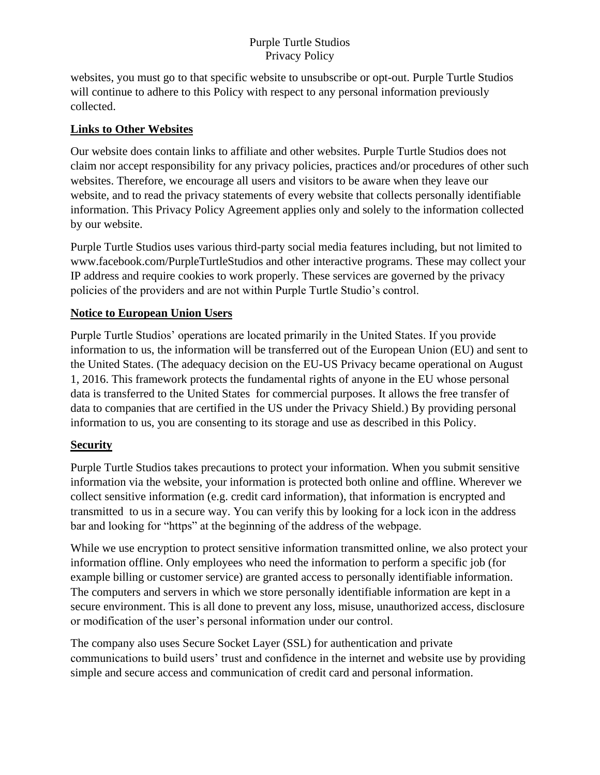websites, you must go to that specific website to unsubscribe or opt-out. Purple Turtle Studios will continue to adhere to this Policy with respect to any personal information previously collected.

### **Links to Other Websites**

Our website does contain links to affiliate and other websites. Purple Turtle Studios does not claim nor accept responsibility for any privacy policies, practices and/or procedures of other such websites. Therefore, we encourage all users and visitors to be aware when they leave our website, and to read the privacy statements of every website that collects personally identifiable information. This Privacy Policy Agreement applies only and solely to the information collected by our website.

Purple Turtle Studios uses various third-party social media features including, but not limited to www.facebook.com/PurpleTurtleStudios and other interactive programs. These may collect your IP address and require cookies to work properly. These services are governed by the privacy policies of the providers and are not within Purple Turtle Studio's control.

### **Notice to European Union Users**

Purple Turtle Studios' operations are located primarily in the United States. If you provide information to us, the information will be transferred out of the European Union (EU) and sent to the United States. (The adequacy decision on the EU-US Privacy became operational on August 1, 2016. This framework protects the fundamental rights of anyone in the EU whose personal data is transferred to the United States for commercial purposes. It allows the free transfer of data to companies that are certified in the US under the Privacy Shield.) By providing personal information to us, you are consenting to its storage and use as described in this Policy.

#### **Security**

Purple Turtle Studios takes precautions to protect your information. When you submit sensitive information via the website, your information is protected both online and offline. Wherever we collect sensitive information (e.g. credit card information), that information is encrypted and transmitted to us in a secure way. You can verify this by looking for a lock icon in the address bar and looking for "https" at the beginning of the address of the webpage.

While we use encryption to protect sensitive information transmitted online, we also protect your information offline. Only employees who need the information to perform a specific job (for example billing or customer service) are granted access to personally identifiable information. The computers and servers in which we store personally identifiable information are kept in a secure environment. This is all done to prevent any loss, misuse, unauthorized access, disclosure or modification of the user's personal information under our control.

The company also uses Secure Socket Layer (SSL) for authentication and private communications to build users' trust and confidence in the internet and website use by providing simple and secure access and communication of credit card and personal information.